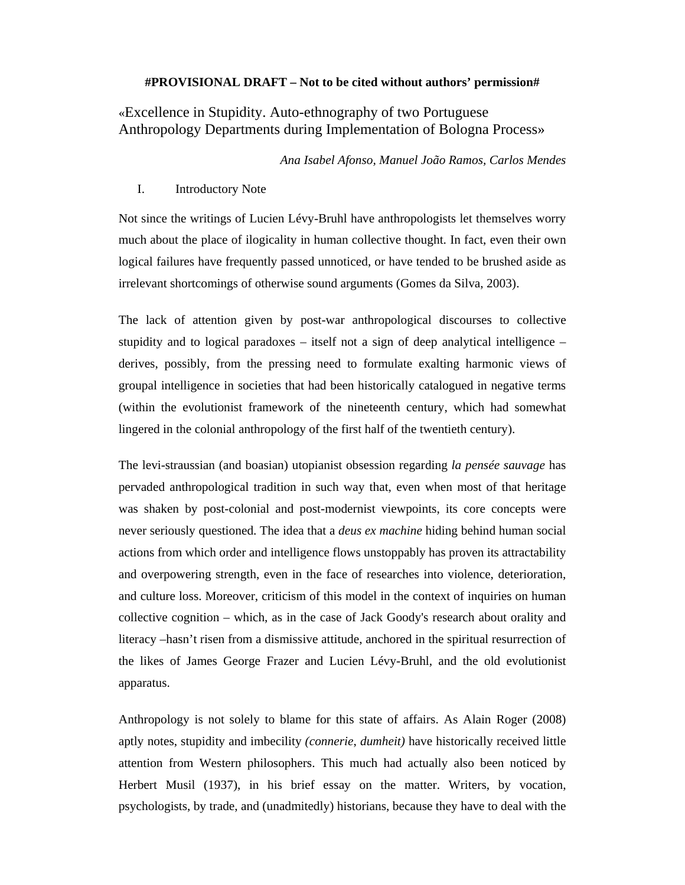## **#PROVISIONAL DRAFT – Not to be cited without authors' permission#**

# «Excellence in Stupidity. Auto-ethnography of two Portuguese Anthropology Departments during Implementation of Bologna Process»

*Ana Isabel Afonso, Manuel João Ramos, Carlos Mendes* 

## I. Introductory Note

Not since the writings of Lucien Lévy-Bruhl have anthropologists let themselves worry much about the place of ilogicality in human collective thought. In fact, even their own logical failures have frequently passed unnoticed, or have tended to be brushed aside as irrelevant shortcomings of otherwise sound arguments (Gomes da Silva, 2003).

The lack of attention given by post-war anthropological discourses to collective stupidity and to logical paradoxes – itself not a sign of deep analytical intelligence – derives, possibly, from the pressing need to formulate exalting harmonic views of groupal intelligence in societies that had been historically catalogued in negative terms (within the evolutionist framework of the nineteenth century, which had somewhat lingered in the colonial anthropology of the first half of the twentieth century).

The levi-straussian (and boasian) utopianist obsession regarding *la pensée sauvage* has pervaded anthropological tradition in such way that, even when most of that heritage was shaken by post-colonial and post-modernist viewpoints, its core concepts were never seriously questioned. The idea that a *deus ex machine* hiding behind human social actions from which order and intelligence flows unstoppably has proven its attractability and overpowering strength, even in the face of researches into violence, deterioration, and culture loss. Moreover, criticism of this model in the context of inquiries on human collective cognition – which, as in the case of Jack Goody's research about orality and literacy –hasn't risen from a dismissive attitude, anchored in the spiritual resurrection of the likes of James George Frazer and Lucien Lévy-Bruhl, and the old evolutionist apparatus.

Anthropology is not solely to blame for this state of affairs. As Alain Roger (2008) aptly notes, stupidity and imbecility *(connerie*, *dumheit)* have historically received little attention from Western philosophers. This much had actually also been noticed by Herbert Musil (1937), in his brief essay on the matter. Writers, by vocation, psychologists, by trade, and (unadmitedly) historians, because they have to deal with the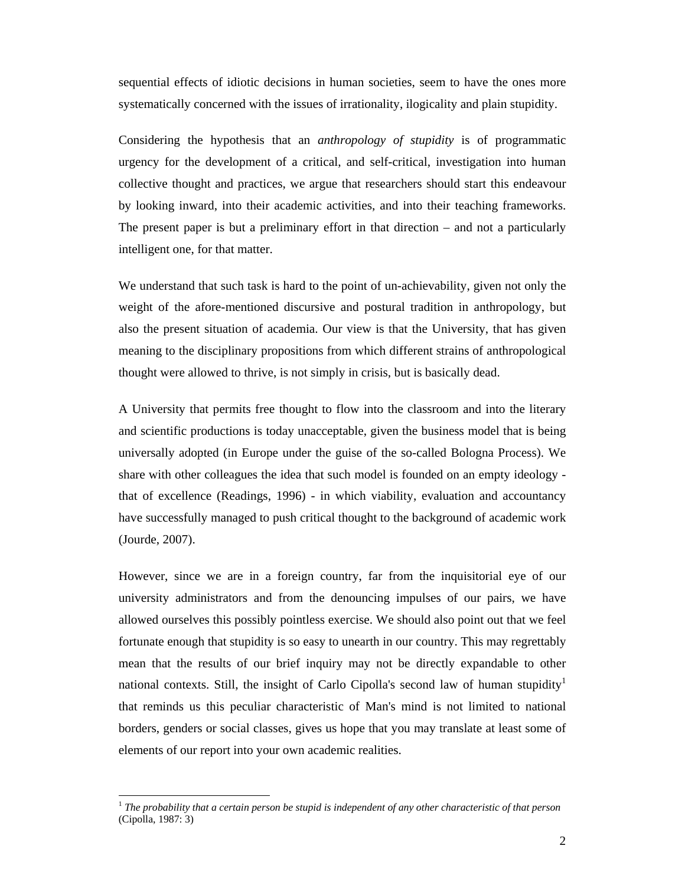sequential effects of idiotic decisions in human societies, seem to have the ones more systematically concerned with the issues of irrationality, ilogicality and plain stupidity.

Considering the hypothesis that an *anthropology of stupidity* is of programmatic urgency for the development of a critical, and self-critical, investigation into human collective thought and practices, we argue that researchers should start this endeavour by looking inward, into their academic activities, and into their teaching frameworks. The present paper is but a preliminary effort in that direction – and not a particularly intelligent one, for that matter.

We understand that such task is hard to the point of un-achievability, given not only the weight of the afore-mentioned discursive and postural tradition in anthropology, but also the present situation of academia. Our view is that the University, that has given meaning to the disciplinary propositions from which different strains of anthropological thought were allowed to thrive, is not simply in crisis, but is basically dead.

A University that permits free thought to flow into the classroom and into the literary and scientific productions is today unacceptable, given the business model that is being universally adopted (in Europe under the guise of the so-called Bologna Process). We share with other colleagues the idea that such model is founded on an empty ideology that of excellence (Readings, 1996) - in which viability, evaluation and accountancy have successfully managed to push critical thought to the background of academic work (Jourde, 2007).

However, since we are in a foreign country, far from the inquisitorial eye of our university administrators and from the denouncing impulses of our pairs, we have allowed ourselves this possibly pointless exercise. We should also point out that we feel fortunate enough that stupidity is so easy to unearth in our country. This may regrettably mean that the results of our brief inquiry may not be directly expandable to other national contexts. Still, the insight of Carlo Cipolla's second law of human stupidity<sup>1</sup> that reminds us this peculiar characteristic of Man's mind is not limited to national borders, genders or social classes, gives us hope that you may translate at least some of elements of our report into your own academic realities.

 $\overline{a}$ 

<sup>1</sup> *The probability that a certain person be stupid is independent of any other characteristic of that person*  (Cipolla, 1987: 3)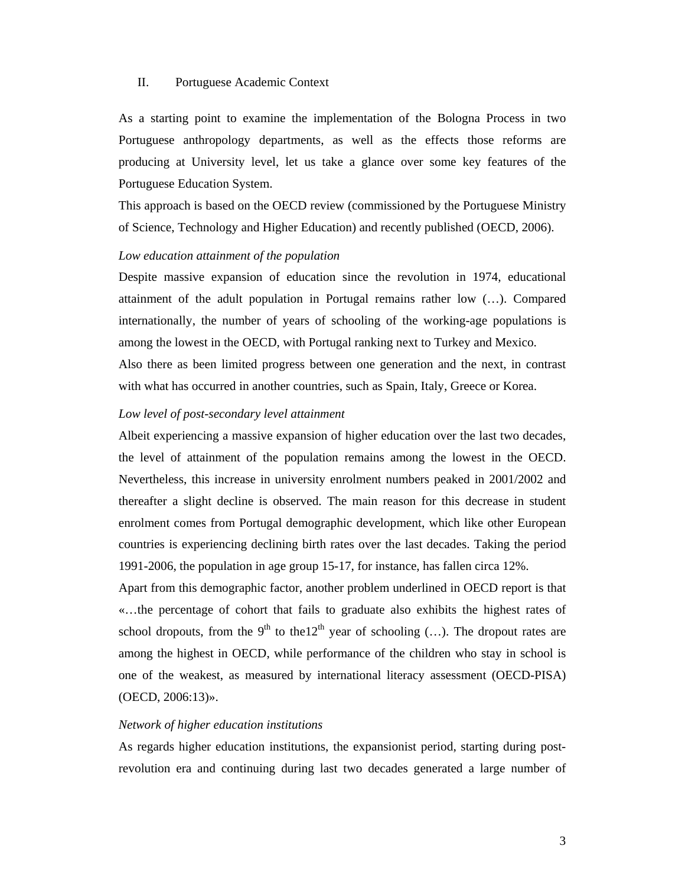### II. Portuguese Academic Context

As a starting point to examine the implementation of the Bologna Process in two Portuguese anthropology departments, as well as the effects those reforms are producing at University level, let us take a glance over some key features of the Portuguese Education System.

This approach is based on the OECD review (commissioned by the Portuguese Ministry of Science, Technology and Higher Education) and recently published (OECD, 2006).

#### *Low education attainment of the population*

Despite massive expansion of education since the revolution in 1974, educational attainment of the adult population in Portugal remains rather low (…). Compared internationally, the number of years of schooling of the working-age populations is among the lowest in the OECD, with Portugal ranking next to Turkey and Mexico. Also there as been limited progress between one generation and the next, in contrast with what has occurred in another countries, such as Spain, Italy, Greece or Korea.

#### *Low level of post-secondary level attainment*

Albeit experiencing a massive expansion of higher education over the last two decades, the level of attainment of the population remains among the lowest in the OECD. Nevertheless, this increase in university enrolment numbers peaked in 2001/2002 and thereafter a slight decline is observed. The main reason for this decrease in student enrolment comes from Portugal demographic development, which like other European countries is experiencing declining birth rates over the last decades. Taking the period 1991-2006, the population in age group 15-17, for instance, has fallen circa 12%.

Apart from this demographic factor, another problem underlined in OECD report is that «…the percentage of cohort that fails to graduate also exhibits the highest rates of school dropouts, from the 9<sup>th</sup> to the12<sup>th</sup> year of schooling (...). The dropout rates are among the highest in OECD, while performance of the children who stay in school is one of the weakest, as measured by international literacy assessment (OECD-PISA) (OECD, 2006:13)».

### *Network of higher education institutions*

As regards higher education institutions, the expansionist period, starting during postrevolution era and continuing during last two decades generated a large number of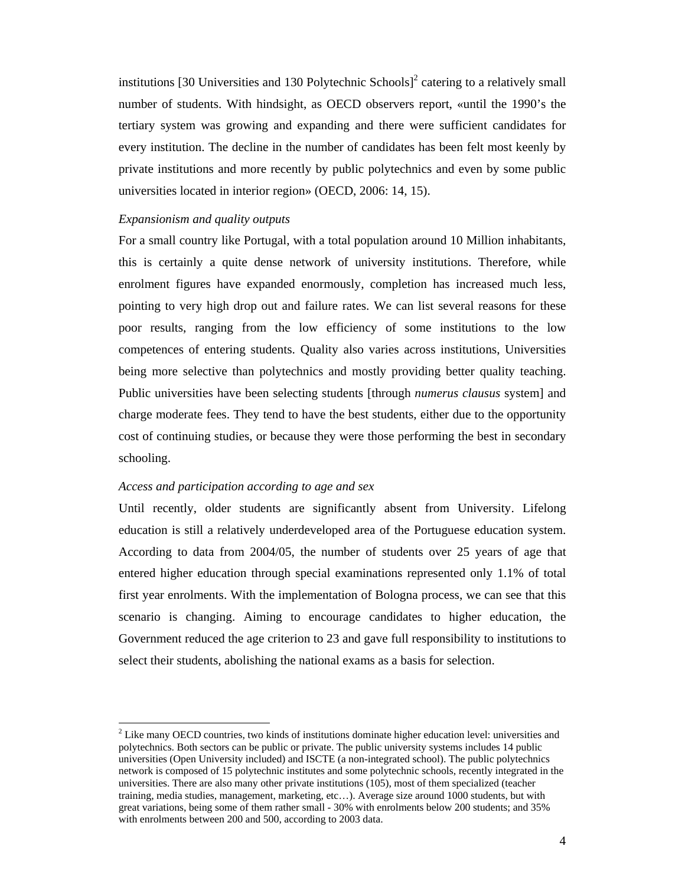institutions [30 Universities and 130 Polytechnic Schools]<sup>2</sup> catering to a relatively small number of students. With hindsight, as OECD observers report, «until the 1990's the tertiary system was growing and expanding and there were sufficient candidates for every institution. The decline in the number of candidates has been felt most keenly by private institutions and more recently by public polytechnics and even by some public universities located in interior region» (OECD, 2006: 14, 15).

#### *Expansionism and quality outputs*

For a small country like Portugal, with a total population around 10 Million inhabitants, this is certainly a quite dense network of university institutions. Therefore, while enrolment figures have expanded enormously, completion has increased much less, pointing to very high drop out and failure rates. We can list several reasons for these poor results, ranging from the low efficiency of some institutions to the low competences of entering students. Quality also varies across institutions, Universities being more selective than polytechnics and mostly providing better quality teaching. Public universities have been selecting students [through *numerus clausus* system] and charge moderate fees. They tend to have the best students, either due to the opportunity cost of continuing studies, or because they were those performing the best in secondary schooling.

#### *Access and participation according to age and sex*

 $\overline{a}$ 

Until recently, older students are significantly absent from University. Lifelong education is still a relatively underdeveloped area of the Portuguese education system. According to data from 2004/05, the number of students over 25 years of age that entered higher education through special examinations represented only 1.1% of total first year enrolments. With the implementation of Bologna process, we can see that this scenario is changing. Aiming to encourage candidates to higher education, the Government reduced the age criterion to 23 and gave full responsibility to institutions to select their students, abolishing the national exams as a basis for selection.

 $2^2$  Like many OECD countries, two kinds of institutions dominate higher education level: universities and polytechnics. Both sectors can be public or private. The public university systems includes 14 public universities (Open University included) and ISCTE (a non-integrated school). The public polytechnics network is composed of 15 polytechnic institutes and some polytechnic schools, recently integrated in the universities. There are also many other private institutions (105), most of them specialized (teacher training, media studies, management, marketing, etc…). Average size around 1000 students, but with great variations, being some of them rather small - 30% with enrolments below 200 students; and 35% with enrolments between 200 and 500, according to 2003 data.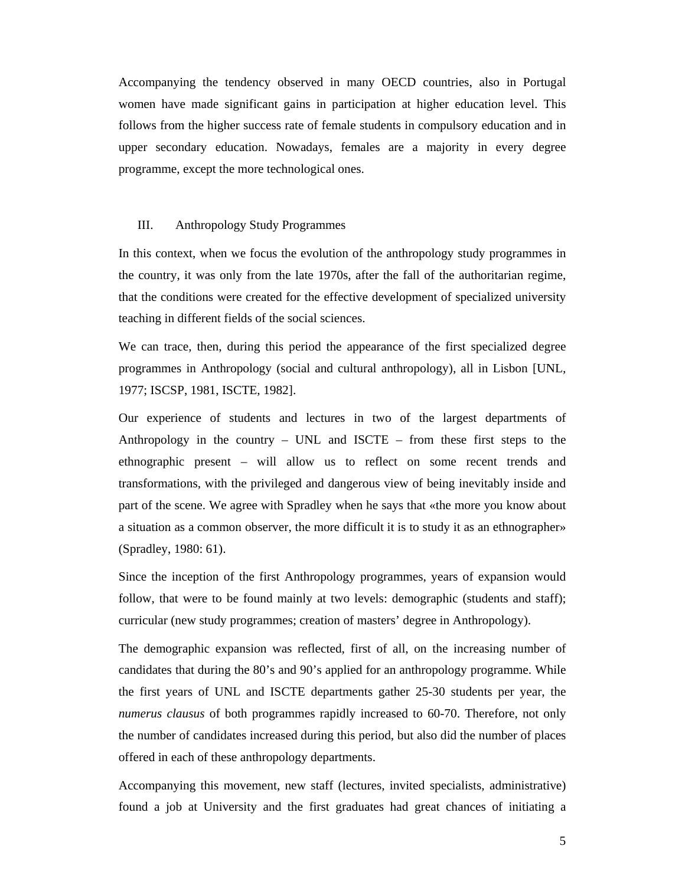Accompanying the tendency observed in many OECD countries, also in Portugal women have made significant gains in participation at higher education level. This follows from the higher success rate of female students in compulsory education and in upper secondary education. Nowadays, females are a majority in every degree programme, except the more technological ones.

#### III. Anthropology Study Programmes

In this context, when we focus the evolution of the anthropology study programmes in the country, it was only from the late 1970s, after the fall of the authoritarian regime, that the conditions were created for the effective development of specialized university teaching in different fields of the social sciences.

We can trace, then, during this period the appearance of the first specialized degree programmes in Anthropology (social and cultural anthropology), all in Lisbon [UNL, 1977; ISCSP, 1981, ISCTE, 1982].

Our experience of students and lectures in two of the largest departments of Anthropology in the country – UNL and ISCTE – from these first steps to the ethnographic present – will allow us to reflect on some recent trends and transformations, with the privileged and dangerous view of being inevitably inside and part of the scene. We agree with Spradley when he says that «the more you know about a situation as a common observer, the more difficult it is to study it as an ethnographer» (Spradley, 1980: 61).

Since the inception of the first Anthropology programmes, years of expansion would follow, that were to be found mainly at two levels: demographic (students and staff); curricular (new study programmes; creation of masters' degree in Anthropology).

The demographic expansion was reflected, first of all, on the increasing number of candidates that during the 80's and 90's applied for an anthropology programme. While the first years of UNL and ISCTE departments gather 25-30 students per year, the *numerus clausus* of both programmes rapidly increased to 60-70. Therefore, not only the number of candidates increased during this period, but also did the number of places offered in each of these anthropology departments.

Accompanying this movement, new staff (lectures, invited specialists, administrative) found a job at University and the first graduates had great chances of initiating a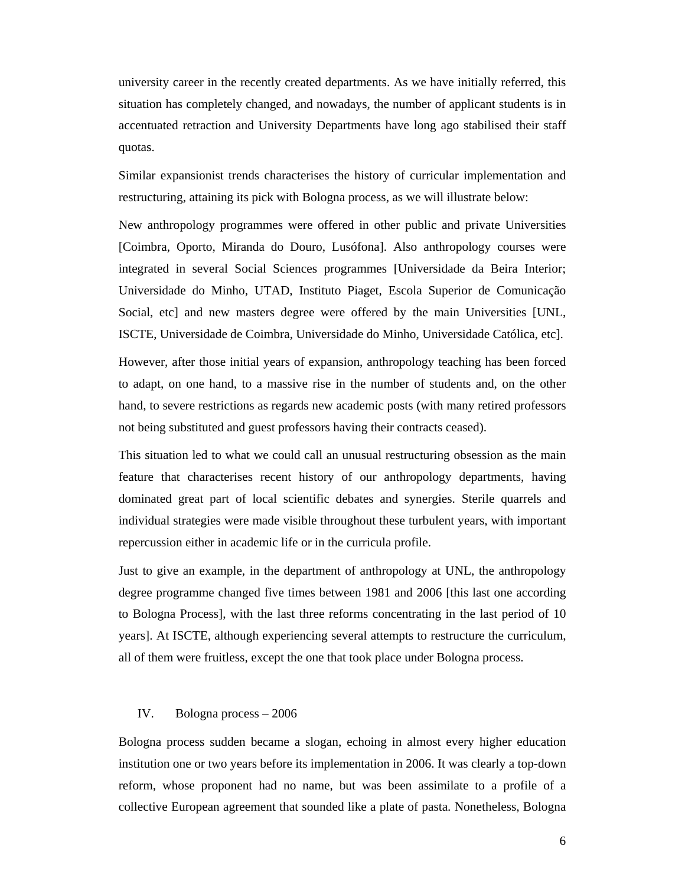university career in the recently created departments. As we have initially referred, this situation has completely changed, and nowadays, the number of applicant students is in accentuated retraction and University Departments have long ago stabilised their staff quotas.

Similar expansionist trends characterises the history of curricular implementation and restructuring, attaining its pick with Bologna process, as we will illustrate below:

New anthropology programmes were offered in other public and private Universities [Coimbra, Oporto, Miranda do Douro, Lusófona]. Also anthropology courses were integrated in several Social Sciences programmes [Universidade da Beira Interior; Universidade do Minho, UTAD, Instituto Piaget, Escola Superior de Comunicação Social, etc] and new masters degree were offered by the main Universities [UNL, ISCTE, Universidade de Coimbra, Universidade do Minho, Universidade Católica, etc].

However, after those initial years of expansion, anthropology teaching has been forced to adapt, on one hand, to a massive rise in the number of students and, on the other hand, to severe restrictions as regards new academic posts (with many retired professors not being substituted and guest professors having their contracts ceased).

This situation led to what we could call an unusual restructuring obsession as the main feature that characterises recent history of our anthropology departments, having dominated great part of local scientific debates and synergies. Sterile quarrels and individual strategies were made visible throughout these turbulent years, with important repercussion either in academic life or in the curricula profile.

Just to give an example, in the department of anthropology at UNL, the anthropology degree programme changed five times between 1981 and 2006 [this last one according to Bologna Process], with the last three reforms concentrating in the last period of 10 years]. At ISCTE, although experiencing several attempts to restructure the curriculum, all of them were fruitless, except the one that took place under Bologna process.

#### IV. Bologna process – 2006

Bologna process sudden became a slogan, echoing in almost every higher education institution one or two years before its implementation in 2006. It was clearly a top-down reform, whose proponent had no name, but was been assimilate to a profile of a collective European agreement that sounded like a plate of pasta. Nonetheless, Bologna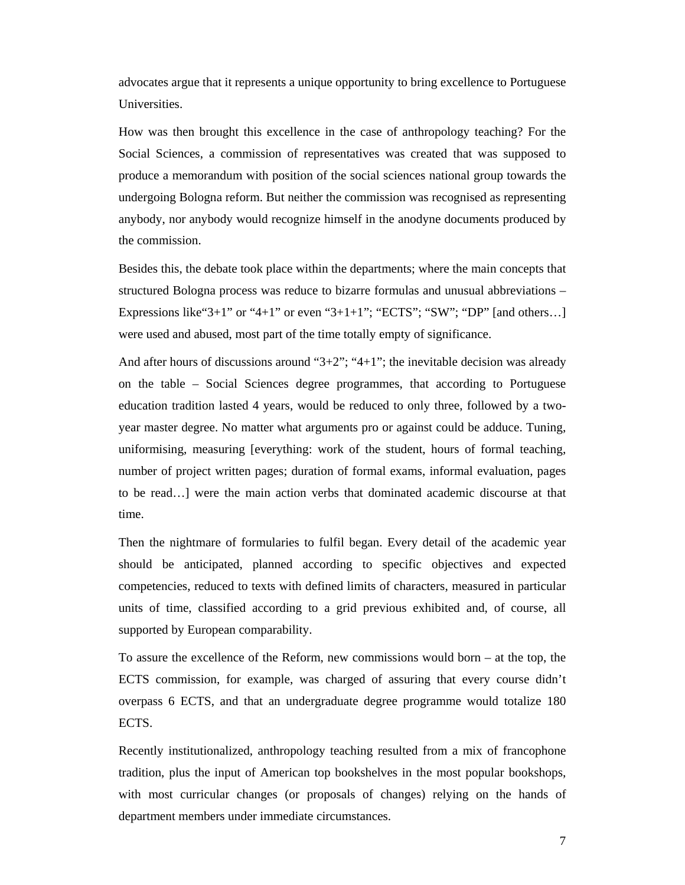advocates argue that it represents a unique opportunity to bring excellence to Portuguese Universities.

How was then brought this excellence in the case of anthropology teaching? For the Social Sciences, a commission of representatives was created that was supposed to produce a memorandum with position of the social sciences national group towards the undergoing Bologna reform. But neither the commission was recognised as representing anybody, nor anybody would recognize himself in the anodyne documents produced by the commission.

Besides this, the debate took place within the departments; where the main concepts that structured Bologna process was reduce to bizarre formulas and unusual abbreviations – Expressions like " $3+1$ " or " $4+1$ " or even " $3+1+1$ "; "ECTS"; "SW"; "DP" [and others...] were used and abused, most part of the time totally empty of significance.

And after hours of discussions around " $3+2$ "; " $4+1$ "; the inevitable decision was already on the table – Social Sciences degree programmes, that according to Portuguese education tradition lasted 4 years, would be reduced to only three, followed by a twoyear master degree. No matter what arguments pro or against could be adduce. Tuning, uniformising, measuring [everything: work of the student, hours of formal teaching, number of project written pages; duration of formal exams, informal evaluation, pages to be read…] were the main action verbs that dominated academic discourse at that time.

Then the nightmare of formularies to fulfil began. Every detail of the academic year should be anticipated, planned according to specific objectives and expected competencies, reduced to texts with defined limits of characters, measured in particular units of time, classified according to a grid previous exhibited and, of course, all supported by European comparability.

To assure the excellence of the Reform, new commissions would born – at the top, the ECTS commission, for example, was charged of assuring that every course didn't overpass 6 ECTS, and that an undergraduate degree programme would totalize 180 ECTS.

Recently institutionalized, anthropology teaching resulted from a mix of francophone tradition, plus the input of American top bookshelves in the most popular bookshops, with most curricular changes (or proposals of changes) relying on the hands of department members under immediate circumstances.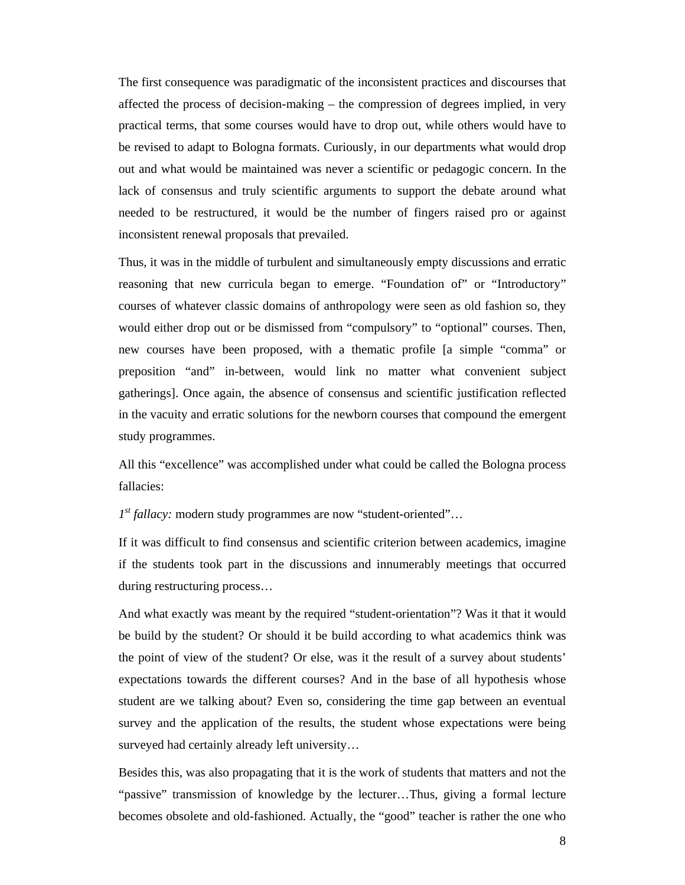The first consequence was paradigmatic of the inconsistent practices and discourses that affected the process of decision-making – the compression of degrees implied, in very practical terms, that some courses would have to drop out, while others would have to be revised to adapt to Bologna formats. Curiously, in our departments what would drop out and what would be maintained was never a scientific or pedagogic concern. In the lack of consensus and truly scientific arguments to support the debate around what needed to be restructured, it would be the number of fingers raised pro or against inconsistent renewal proposals that prevailed.

Thus, it was in the middle of turbulent and simultaneously empty discussions and erratic reasoning that new curricula began to emerge. "Foundation of" or "Introductory" courses of whatever classic domains of anthropology were seen as old fashion so, they would either drop out or be dismissed from "compulsory" to "optional" courses. Then, new courses have been proposed, with a thematic profile [a simple "comma" or preposition "and" in-between, would link no matter what convenient subject gatherings]. Once again, the absence of consensus and scientific justification reflected in the vacuity and erratic solutions for the newborn courses that compound the emergent study programmes.

All this "excellence" was accomplished under what could be called the Bologna process fallacies:

*1st fallacy:* modern study programmes are now "student-oriented"…

If it was difficult to find consensus and scientific criterion between academics, imagine if the students took part in the discussions and innumerably meetings that occurred during restructuring process…

And what exactly was meant by the required "student-orientation"? Was it that it would be build by the student? Or should it be build according to what academics think was the point of view of the student? Or else, was it the result of a survey about students' expectations towards the different courses? And in the base of all hypothesis whose student are we talking about? Even so, considering the time gap between an eventual survey and the application of the results, the student whose expectations were being surveyed had certainly already left university…

Besides this, was also propagating that it is the work of students that matters and not the "passive" transmission of knowledge by the lecturer…Thus, giving a formal lecture becomes obsolete and old-fashioned. Actually, the "good" teacher is rather the one who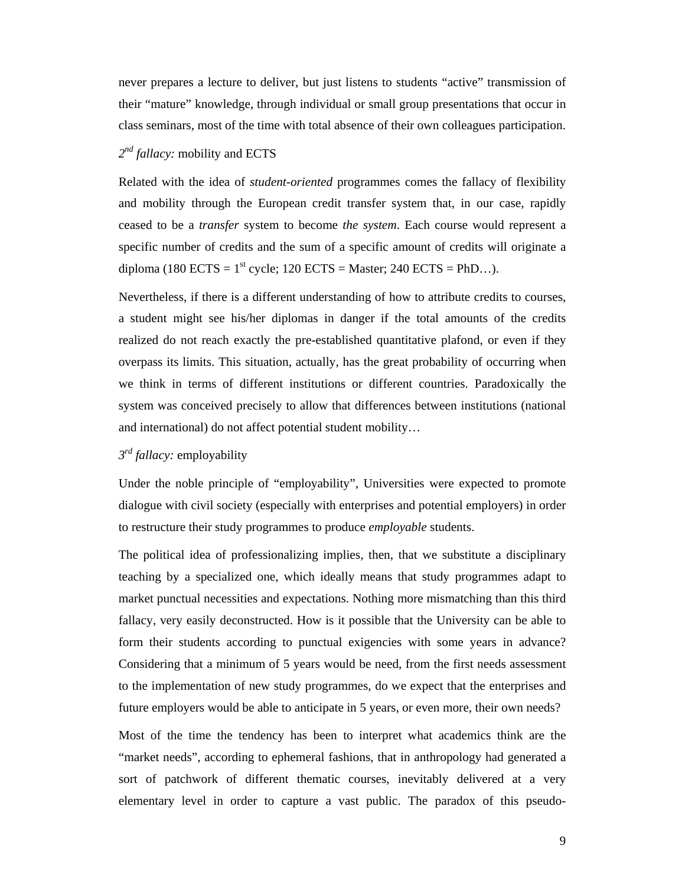never prepares a lecture to deliver, but just listens to students "active" transmission of their "mature" knowledge, through individual or small group presentations that occur in class seminars, most of the time with total absence of their own colleagues participation.

## *2nd fallacy:* mobility and ECTS

Related with the idea of *student-oriented* programmes comes the fallacy of flexibility and mobility through the European credit transfer system that, in our case, rapidly ceased to be a *transfer* system to become *the system*. Each course would represent a specific number of credits and the sum of a specific amount of credits will originate a diploma (180 ECTS =  $1<sup>st</sup>$  cycle; 120 ECTS = Master; 240 ECTS = PhD...).

Nevertheless, if there is a different understanding of how to attribute credits to courses, a student might see his/her diplomas in danger if the total amounts of the credits realized do not reach exactly the pre-established quantitative plafond, or even if they overpass its limits. This situation, actually, has the great probability of occurring when we think in terms of different institutions or different countries. Paradoxically the system was conceived precisely to allow that differences between institutions (national and international) do not affect potential student mobility…

## *3rd fallacy:* employability

Under the noble principle of "employability", Universities were expected to promote dialogue with civil society (especially with enterprises and potential employers) in order to restructure their study programmes to produce *employable* students.

The political idea of professionalizing implies, then, that we substitute a disciplinary teaching by a specialized one, which ideally means that study programmes adapt to market punctual necessities and expectations. Nothing more mismatching than this third fallacy, very easily deconstructed. How is it possible that the University can be able to form their students according to punctual exigencies with some years in advance? Considering that a minimum of 5 years would be need, from the first needs assessment to the implementation of new study programmes, do we expect that the enterprises and future employers would be able to anticipate in 5 years, or even more, their own needs?

Most of the time the tendency has been to interpret what academics think are the "market needs", according to ephemeral fashions, that in anthropology had generated a sort of patchwork of different thematic courses, inevitably delivered at a very elementary level in order to capture a vast public. The paradox of this pseudo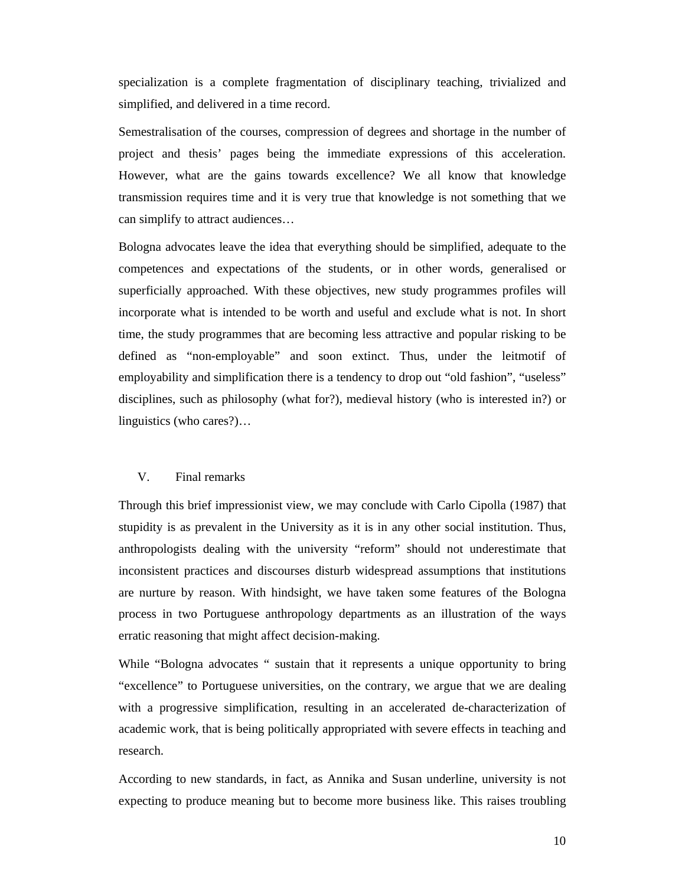specialization is a complete fragmentation of disciplinary teaching, trivialized and simplified, and delivered in a time record.

Semestralisation of the courses, compression of degrees and shortage in the number of project and thesis' pages being the immediate expressions of this acceleration. However, what are the gains towards excellence? We all know that knowledge transmission requires time and it is very true that knowledge is not something that we can simplify to attract audiences…

Bologna advocates leave the idea that everything should be simplified, adequate to the competences and expectations of the students, or in other words, generalised or superficially approached. With these objectives, new study programmes profiles will incorporate what is intended to be worth and useful and exclude what is not. In short time, the study programmes that are becoming less attractive and popular risking to be defined as "non-employable" and soon extinct. Thus, under the leitmotif of employability and simplification there is a tendency to drop out "old fashion", "useless" disciplines, such as philosophy (what for?), medieval history (who is interested in?) or linguistics (who cares?)…

## V. Final remarks

Through this brief impressionist view, we may conclude with Carlo Cipolla (1987) that stupidity is as prevalent in the University as it is in any other social institution. Thus, anthropologists dealing with the university "reform" should not underestimate that inconsistent practices and discourses disturb widespread assumptions that institutions are nurture by reason. With hindsight, we have taken some features of the Bologna process in two Portuguese anthropology departments as an illustration of the ways erratic reasoning that might affect decision-making.

While "Bologna advocates " sustain that it represents a unique opportunity to bring "excellence" to Portuguese universities, on the contrary, we argue that we are dealing with a progressive simplification, resulting in an accelerated de-characterization of academic work, that is being politically appropriated with severe effects in teaching and research.

According to new standards, in fact, as Annika and Susan underline, university is not expecting to produce meaning but to become more business like. This raises troubling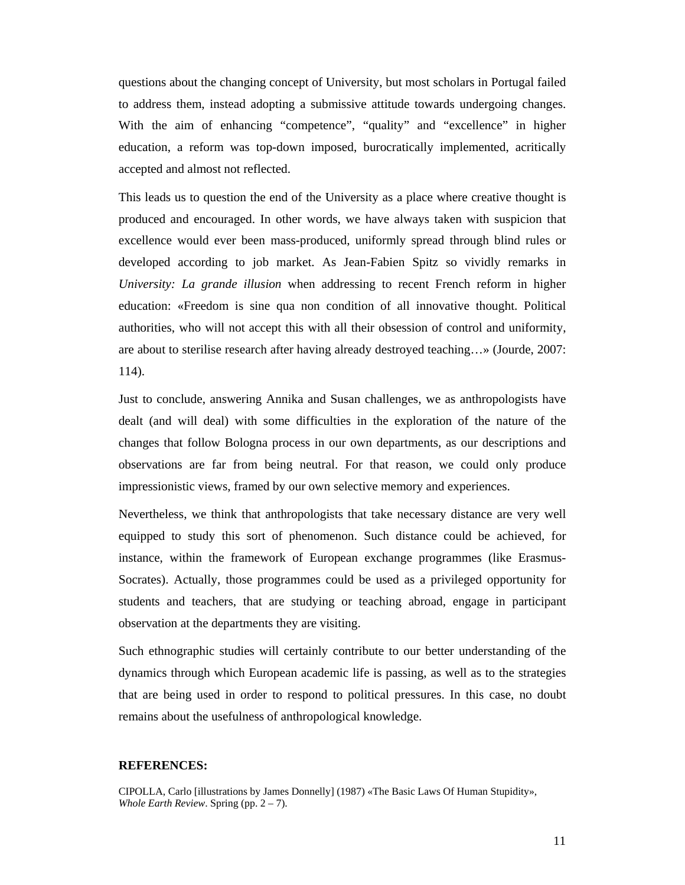questions about the changing concept of University, but most scholars in Portugal failed to address them, instead adopting a submissive attitude towards undergoing changes. With the aim of enhancing "competence", "quality" and "excellence" in higher education, a reform was top-down imposed, burocratically implemented, acritically accepted and almost not reflected.

This leads us to question the end of the University as a place where creative thought is produced and encouraged. In other words, we have always taken with suspicion that excellence would ever been mass-produced, uniformly spread through blind rules or developed according to job market. As Jean-Fabien Spitz so vividly remarks in *University: La grande illusion* when addressing to recent French reform in higher education: «Freedom is sine qua non condition of all innovative thought. Political authorities, who will not accept this with all their obsession of control and uniformity, are about to sterilise research after having already destroyed teaching…» (Jourde, 2007: 114).

Just to conclude, answering Annika and Susan challenges, we as anthropologists have dealt (and will deal) with some difficulties in the exploration of the nature of the changes that follow Bologna process in our own departments, as our descriptions and observations are far from being neutral. For that reason, we could only produce impressionistic views, framed by our own selective memory and experiences.

Nevertheless, we think that anthropologists that take necessary distance are very well equipped to study this sort of phenomenon. Such distance could be achieved, for instance, within the framework of European exchange programmes (like Erasmus-Socrates). Actually, those programmes could be used as a privileged opportunity for students and teachers, that are studying or teaching abroad, engage in participant observation at the departments they are visiting.

Such ethnographic studies will certainly contribute to our better understanding of the dynamics through which European academic life is passing, as well as to the strategies that are being used in order to respond to political pressures. In this case, no doubt remains about the usefulness of anthropological knowledge.

#### **REFERENCES:**

CIPOLLA, Carlo [illustrations by James Donnelly] (1987) «The Basic Laws Of Human Stupidity», *Whole Earth Review*. Spring (pp. 2 – 7).